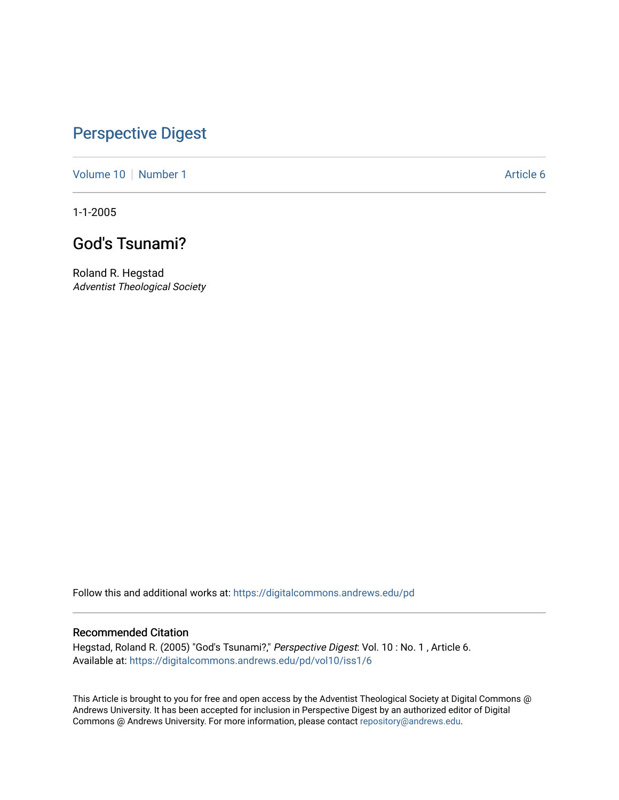## [Perspective Digest](https://digitalcommons.andrews.edu/pd)

[Volume 10](https://digitalcommons.andrews.edu/pd/vol10) [Number 1](https://digitalcommons.andrews.edu/pd/vol10/iss1) Article 6

1-1-2005

## God's Tsunami?

Roland R. Hegstad Adventist Theological Society

Follow this and additional works at: [https://digitalcommons.andrews.edu/pd](https://digitalcommons.andrews.edu/pd?utm_source=digitalcommons.andrews.edu%2Fpd%2Fvol10%2Fiss1%2F6&utm_medium=PDF&utm_campaign=PDFCoverPages)

#### Recommended Citation

Hegstad, Roland R. (2005) "God's Tsunami?," Perspective Digest: Vol. 10 : No. 1 , Article 6. Available at: [https://digitalcommons.andrews.edu/pd/vol10/iss1/6](https://digitalcommons.andrews.edu/pd/vol10/iss1/6?utm_source=digitalcommons.andrews.edu%2Fpd%2Fvol10%2Fiss1%2F6&utm_medium=PDF&utm_campaign=PDFCoverPages)

This Article is brought to you for free and open access by the Adventist Theological Society at Digital Commons @ Andrews University. It has been accepted for inclusion in Perspective Digest by an authorized editor of Digital Commons @ Andrews University. For more information, please contact [repository@andrews.edu.](mailto:repository@andrews.edu)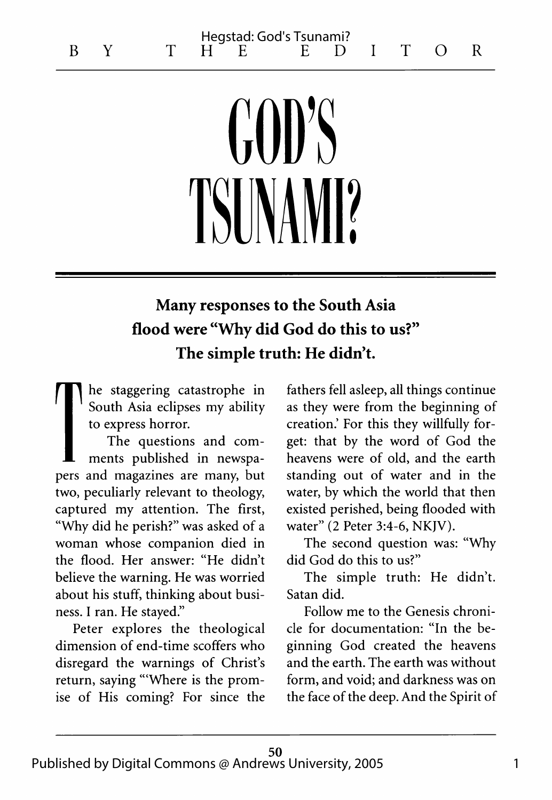# $\binom{1}{1}$ **TSINAM**

### Many responses to the South Asia flood were "Why did God do this to us?" The simple truth: He didn't.

he staggering catastrophe in South Asia eclipses my ability to express horror.

The questions and comments published in newspapers and magazines are many, but two, peculiarly relevant to theology, captured my attention. The first, "Why did he perish?" was asked of a woman whose companion died in the flood. Her answer: "He didn't believe the warning. He was worried about his stuff, thinking about business. I ran. He stayed."

Peter explores the theological dimension of end-time scoffers who disregard the warnings of Christ's return, saying "'Where is the promise of His coming? For since the

fathers fell asleep, all things continue as they were from the beginning of creation.' For this they willfully forget: that by the word of God the heavens were of old, and the earth standing out of water and in the water, by which the world that then existed perished, being flooded with water" (2 Peter 3:4-6, NKJV).

The second question was: "Why did God do this to us?"

The simple truth: He didn't. Satan did.

Follow me to the Genesis chronicle for documentation: "In the beginning God created the heavens and the earth. The earth was without form, and void; and darkness was on the face of the deep. And the Spirit of